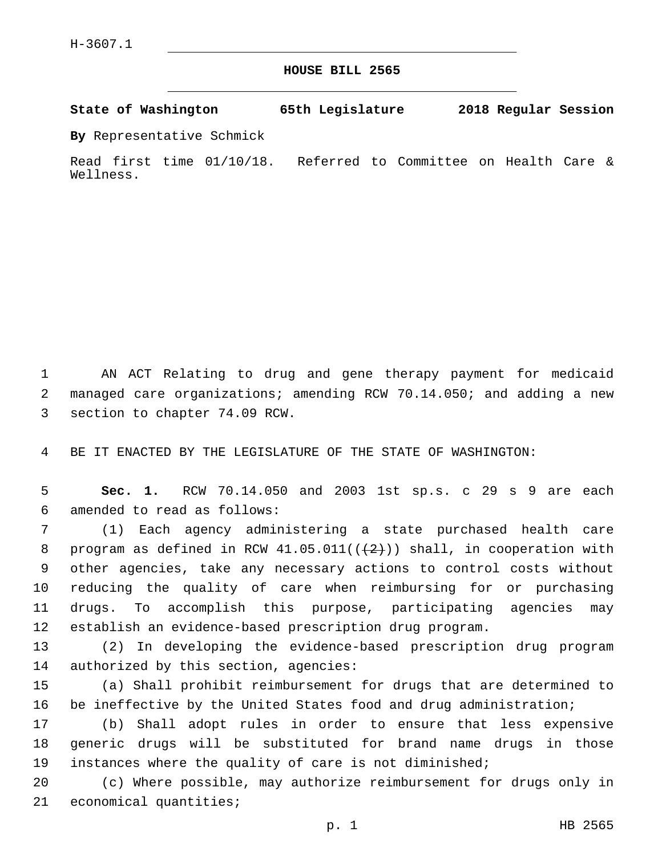**HOUSE BILL 2565**

**State of Washington 65th Legislature 2018 Regular Session**

**By** Representative Schmick

Read first time 01/10/18. Referred to Committee on Health Care & Wellness.

1 AN ACT Relating to drug and gene therapy payment for medicaid 2 managed care organizations; amending RCW 70.14.050; and adding a new 3 section to chapter 74.09 RCW.

4 BE IT ENACTED BY THE LEGISLATURE OF THE STATE OF WASHINGTON:

5 **Sec. 1.** RCW 70.14.050 and 2003 1st sp.s. c 29 s 9 are each amended to read as follows:6

 (1) Each agency administering a state purchased health care 8 program as defined in RCW  $41.05.011((+2))$  shall, in cooperation with other agencies, take any necessary actions to control costs without reducing the quality of care when reimbursing for or purchasing drugs. To accomplish this purpose, participating agencies may establish an evidence-based prescription drug program.

13 (2) In developing the evidence-based prescription drug program 14 authorized by this section, agencies:

15 (a) Shall prohibit reimbursement for drugs that are determined to 16 be ineffective by the United States food and drug administration;

17 (b) Shall adopt rules in order to ensure that less expensive 18 generic drugs will be substituted for brand name drugs in those 19 instances where the quality of care is not diminished;

20 (c) Where possible, may authorize reimbursement for drugs only in 21 economical quantities;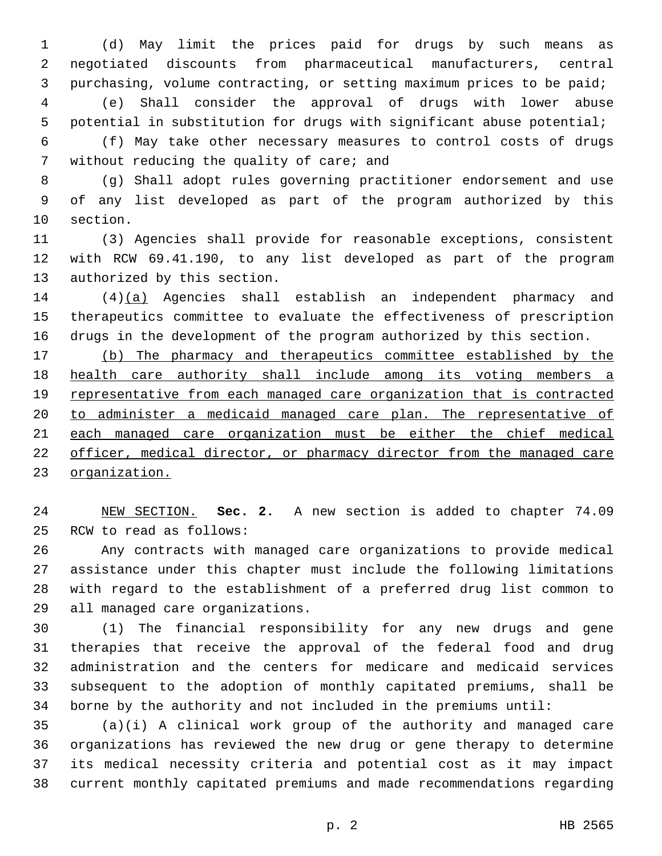(d) May limit the prices paid for drugs by such means as negotiated discounts from pharmaceutical manufacturers, central purchasing, volume contracting, or setting maximum prices to be paid; (e) Shall consider the approval of drugs with lower abuse potential in substitution for drugs with significant abuse potential;

 (f) May take other necessary measures to control costs of drugs 7 without reducing the quality of care; and

 (g) Shall adopt rules governing practitioner endorsement and use of any list developed as part of the program authorized by this 10 section.

 (3) Agencies shall provide for reasonable exceptions, consistent with RCW 69.41.190, to any list developed as part of the program 13 authorized by this section.

 (4)(a) Agencies shall establish an independent pharmacy and therapeutics committee to evaluate the effectiveness of prescription drugs in the development of the program authorized by this section.

 (b) The pharmacy and therapeutics committee established by the 18 health care authority shall include among its voting members a representative from each managed care organization that is contracted to administer a medicaid managed care plan. The representative of each managed care organization must be either the chief medical officer, medical director, or pharmacy director from the managed care organization.

 NEW SECTION. **Sec. 2.** A new section is added to chapter 74.09 25 RCW to read as follows:

 Any contracts with managed care organizations to provide medical assistance under this chapter must include the following limitations with regard to the establishment of a preferred drug list common to 29 all managed care organizations.

 (1) The financial responsibility for any new drugs and gene therapies that receive the approval of the federal food and drug administration and the centers for medicare and medicaid services subsequent to the adoption of monthly capitated premiums, shall be borne by the authority and not included in the premiums until:

 (a)(i) A clinical work group of the authority and managed care organizations has reviewed the new drug or gene therapy to determine its medical necessity criteria and potential cost as it may impact current monthly capitated premiums and made recommendations regarding